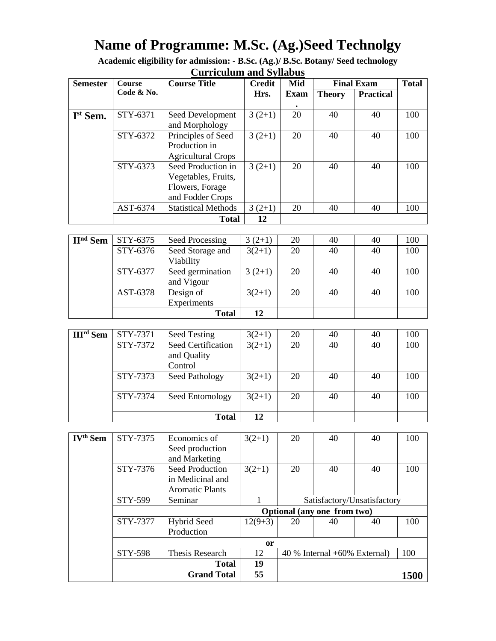# **Name of Programme: M.Sc. (Ag.)Seed Technolgy**

**Academic eligibility for admission: - B.Sc. (Ag.)/ B.Sc. Botany/ Seed technology Curriculum and Syllabus**

| <b>Semester</b>      | <b>Course</b> | <b>Course Title</b>                                                              | <b>Credit</b> | Mid         | <b>Final Exam</b> |                  | <b>Total</b> |
|----------------------|---------------|----------------------------------------------------------------------------------|---------------|-------------|-------------------|------------------|--------------|
|                      | Code & No.    |                                                                                  | Hrs.          | <b>Exam</b> | <b>Theory</b>     | <b>Practical</b> |              |
| I <sup>st</sup> Sem. | STY-6371      | Seed Development<br>and Morphology                                               | $3(2+1)$      | 20          | 40                | 40               | 100          |
|                      | STY-6372      | Principles of Seed<br>Production in<br><b>Agricultural Crops</b>                 | $3(2+1)$      | 20          | 40                | 40               | 100          |
|                      | STY-6373      | Seed Production in<br>Vegetables, Fruits,<br>Flowers, Forage<br>and Fodder Crops | $3(2+1)$      | 20          | 40                | 40               | 100          |
|                      | AST-6374      | <b>Statistical Methods</b>                                                       | $3(2+1)$      | 20          | 40                | 40               | 100          |
|                      |               | <b>Total</b>                                                                     | 12            |             |                   |                  |              |

| II <sup>nd</sup> Sem | STY-6375 | Seed Processing  | $3(2+1)$ | 20 | 40 | 40 | 100 |
|----------------------|----------|------------------|----------|----|----|----|-----|
|                      | STY-6376 | Seed Storage and | $3(2+1)$ | 20 | 40 | 40 | 100 |
|                      |          | Viability        |          |    |    |    |     |
|                      | STY-6377 | Seed germination | $3(2+1)$ | 20 | 40 | 40 | 100 |
|                      |          | and Vigour       |          |    |    |    |     |
|                      | AST-6378 | Design of        | $3(2+1)$ | 20 | 40 | 40 | 100 |
|                      |          | Experiments      |          |    |    |    |     |
|                      |          | <b>Total</b>     | 12       |    |    |    |     |

| <b>III<sup>rd</sup></b> Sem | STY-7371 | Seed Testing       | $3(2+1)$ | 20 | 40 | 40 | 100 |
|-----------------------------|----------|--------------------|----------|----|----|----|-----|
|                             | STY-7372 | Seed Certification | $3(2+1)$ | 20 | 40 | 40 | 100 |
|                             |          | and Quality        |          |    |    |    |     |
|                             |          | Control            |          |    |    |    |     |
|                             | STY-7373 | Seed Pathology     | $3(2+1)$ | 20 | 40 | 40 | 100 |
|                             |          |                    |          |    |    |    |     |
|                             | STY-7374 | Seed Entomology    | $3(2+1)$ | 20 | 40 | 40 | 100 |
|                             |          |                    |          |    |    |    |     |
|                             |          | <b>Total</b>       | 12       |    |    |    |     |

| <b>IV<sup>th</sup> Sem</b> | STY-7375                    | Economics of           | $3(2+1)$  | 20                                | 40 | 40 | 100  |
|----------------------------|-----------------------------|------------------------|-----------|-----------------------------------|----|----|------|
|                            |                             | Seed production        |           |                                   |    |    |      |
|                            |                             | and Marketing          |           |                                   |    |    |      |
|                            | STY-7376                    | Seed Production        | $3(2+1)$  | 20                                | 40 | 40 | 100  |
|                            |                             | in Medicinal and       |           |                                   |    |    |      |
|                            |                             | <b>Aromatic Plants</b> |           |                                   |    |    |      |
|                            | STY-599                     | Seminar                |           | Satisfactory/Unsatisfactory       |    |    |      |
|                            | Optional (any one from two) |                        |           |                                   |    |    |      |
|                            | STY-7377                    | <b>Hybrid Seed</b>     | $12(9+3)$ | 20                                | 40 | 40 | 100  |
|                            |                             | Production             |           |                                   |    |    |      |
|                            | <b>or</b>                   |                        |           |                                   |    |    |      |
|                            | <b>STY-598</b>              | Thesis Research        | 12        | $40\%$ Internal $+60\%$ External) |    |    | 100  |
|                            |                             | 19                     |           |                                   |    |    |      |
|                            | <b>Grand Total</b>          |                        | 55        |                                   |    |    | 1500 |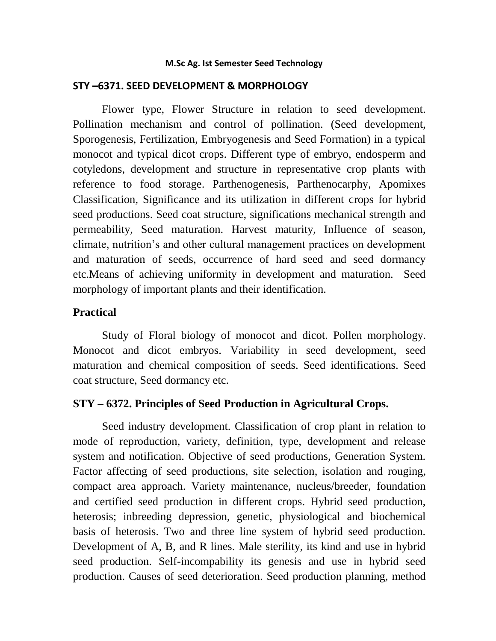#### **M.Sc Ag. Ist Semester Seed Technology**

#### **STY –6371. SEED DEVELOPMENT & MORPHOLOGY**

Flower type, Flower Structure in relation to seed development. Pollination mechanism and control of pollination. (Seed development, Sporogenesis, Fertilization, Embryogenesis and Seed Formation) in a typical monocot and typical dicot crops. Different type of embryo, endosperm and cotyledons, development and structure in representative crop plants with reference to food storage. Parthenogenesis, Parthenocarphy, Apomixes Classification, Significance and its utilization in different crops for hybrid seed productions. Seed coat structure, significations mechanical strength and permeability, Seed maturation. Harvest maturity, Influence of season, climate, nutrition's and other cultural management practices on development and maturation of seeds, occurrence of hard seed and seed dormancy etc.Means of achieving uniformity in development and maturation. Seed morphology of important plants and their identification.

#### **Practical**

 Study of Floral biology of monocot and dicot. Pollen morphology. Monocot and dicot embryos. Variability in seed development, seed maturation and chemical composition of seeds. Seed identifications. Seed coat structure, Seed dormancy etc.

#### **STY – 6372. Principles of Seed Production in Agricultural Crops.**

Seed industry development. Classification of crop plant in relation to mode of reproduction, variety, definition, type, development and release system and notification. Objective of seed productions, Generation System. Factor affecting of seed productions, site selection, isolation and rouging, compact area approach. Variety maintenance, nucleus/breeder, foundation and certified seed production in different crops. Hybrid seed production, heterosis; inbreeding depression, genetic, physiological and biochemical basis of heterosis. Two and three line system of hybrid seed production. Development of A, B, and R lines. Male sterility, its kind and use in hybrid seed production. Self-incompability its genesis and use in hybrid seed production. Causes of seed deterioration. Seed production planning, method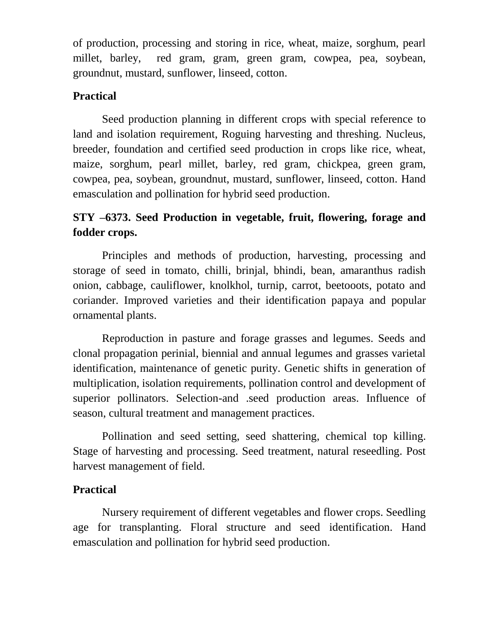of production, processing and storing in rice, wheat, maize, sorghum, pearl millet, barley, red gram, gram, green gram, cowpea, pea, soybean, groundnut, mustard, sunflower, linseed, cotton.

## **Practical**

Seed production planning in different crops with special reference to land and isolation requirement, Roguing harvesting and threshing. Nucleus, breeder, foundation and certified seed production in crops like rice, wheat, maize, sorghum, pearl millet, barley, red gram, chickpea, green gram, cowpea, pea, soybean, groundnut, mustard, sunflower, linseed, cotton. Hand emasculation and pollination for hybrid seed production.

## **STY –6373. Seed Production in vegetable, fruit, flowering, forage and fodder crops.**

Principles and methods of production, harvesting, processing and storage of seed in tomato, chilli, brinjal, bhindi, bean, amaranthus radish onion, cabbage, cauliflower, knolkhol, turnip, carrot, beetooots, potato and coriander. Improved varieties and their identification papaya and popular ornamental plants.

Reproduction in pasture and forage grasses and legumes. Seeds and clonal propagation perinial, biennial and annual legumes and grasses varietal identification, maintenance of genetic purity. Genetic shifts in generation of multiplication, isolation requirements, pollination control and development of superior pollinators. Selection-and .seed production areas. Influence of season, cultural treatment and management practices.

Pollination and seed setting, seed shattering, chemical top killing. Stage of harvesting and processing. Seed treatment, natural reseedling. Post harvest management of field.

## **Practical**

Nursery requirement of different vegetables and flower crops. Seedling age for transplanting. Floral structure and seed identification. Hand emasculation and pollination for hybrid seed production.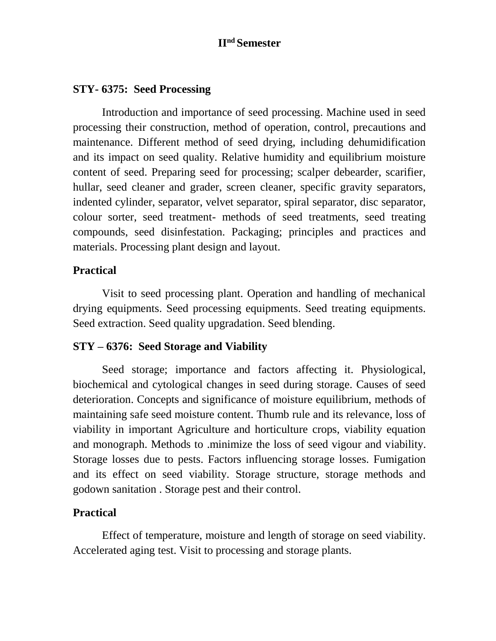#### **IInd Semester**

#### **STY- 6375: Seed Processing**

Introduction and importance of seed processing. Machine used in seed processing their construction, method of operation, control, precautions and maintenance. Different method of seed drying, including dehumidification and its impact on seed quality. Relative humidity and equilibrium moisture content of seed. Preparing seed for processing; scalper debearder, scarifier, hullar, seed cleaner and grader, screen cleaner, specific gravity separators, indented cylinder, separator, velvet separator, spiral separator, disc separator, colour sorter, seed treatment- methods of seed treatments, seed treating compounds, seed disinfestation. Packaging; principles and practices and materials. Processing plant design and layout.

#### **Practical**

Visit to seed processing plant. Operation and handling of mechanical drying equipments. Seed processing equipments. Seed treating equipments. Seed extraction. Seed quality upgradation. Seed blending.

#### **STY – 6376: Seed Storage and Viability**

Seed storage; importance and factors affecting it. Physiological, biochemical and cytological changes in seed during storage. Causes of seed deterioration. Concepts and significance of moisture equilibrium, methods of maintaining safe seed moisture content. Thumb rule and its relevance, loss of viability in important Agriculture and horticulture crops, viability equation and monograph. Methods to .minimize the loss of seed vigour and viability. Storage losses due to pests. Factors influencing storage losses. Fumigation and its effect on seed viability. Storage structure, storage methods and godown sanitation . Storage pest and their control.

#### **Practical**

Effect of temperature, moisture and length of storage on seed viability. Accelerated aging test. Visit to processing and storage plants.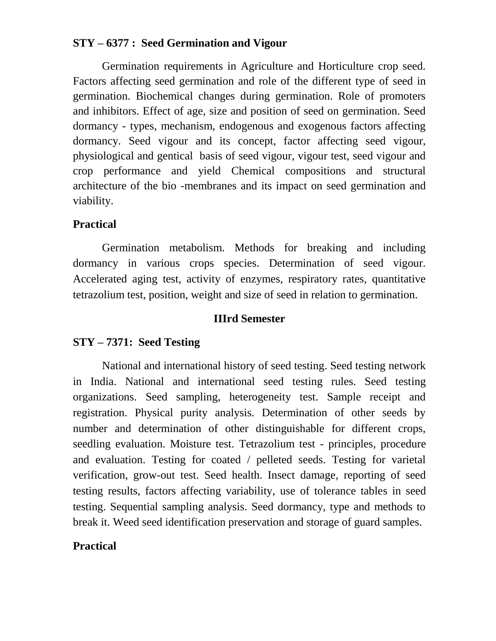#### **STY – 6377 : Seed Germination and Vigour**

Germination requirements in Agriculture and Horticulture crop seed. Factors affecting seed germination and role of the different type of seed in germination. Biochemical changes during germination. Role of promoters and inhibitors. Effect of age, size and position of seed on germination. Seed dormancy - types, mechanism, endogenous and exogenous factors affecting dormancy. Seed vigour and its concept, factor affecting seed vigour, physiological and gentical basis of seed vigour, vigour test, seed vigour and crop performance and yield Chemical compositions and structural architecture of the bio -membranes and its impact on seed germination and viability.

#### **Practical**

Germination metabolism. Methods for breaking and including dormancy in various crops species. Determination of seed vigour. Accelerated aging test, activity of enzymes, respiratory rates, quantitative tetrazolium test, position, weight and size of seed in relation to germination.

#### **IIIrd Semester**

## **STY – 7371: Seed Testing**

National and international history of seed testing. Seed testing network in India. National and international seed testing rules. Seed testing organizations. Seed sampling, heterogeneity test. Sample receipt and registration. Physical purity analysis. Determination of other seeds by number and determination of other distinguishable for different crops, seedling evaluation. Moisture test. Tetrazolium test - principles, procedure and evaluation. Testing for coated / pelleted seeds. Testing for varietal verification, grow-out test. Seed health. Insect damage, reporting of seed testing results, factors affecting variability, use of tolerance tables in seed testing. Sequential sampling analysis. Seed dormancy, type and methods to break it. Weed seed identification preservation and storage of guard samples.

## **Practical**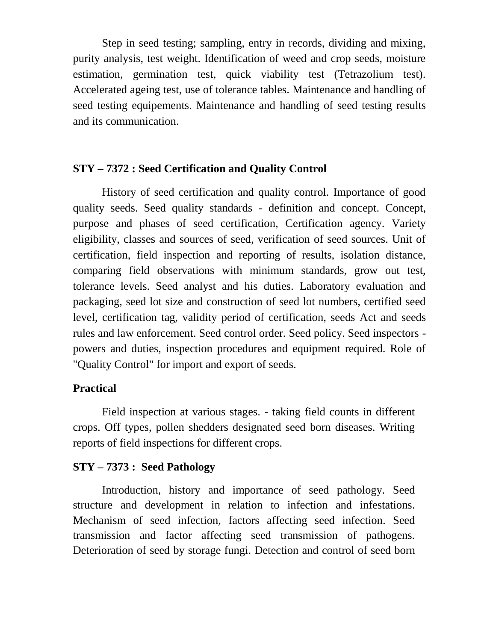Step in seed testing; sampling, entry in records, dividing and mixing, purity analysis, test weight. Identification of weed and crop seeds, moisture estimation, germination test, quick viability test (Tetrazolium test). Accelerated ageing test, use of tolerance tables. Maintenance and handling of seed testing equipements. Maintenance and handling of seed testing results and its communication.

#### **STY – 7372 : Seed Certification and Quality Control**

History of seed certification and quality control. Importance of good quality seeds. Seed quality standards - definition and concept. Concept, purpose and phases of seed certification, Certification agency. Variety eligibility, classes and sources of seed, verification of seed sources. Unit of certification, field inspection and reporting of results, isolation distance, comparing field observations with minimum standards, grow out test, tolerance levels. Seed analyst and his duties. Laboratory evaluation and packaging, seed lot size and construction of seed lot numbers, certified seed level, certification tag, validity period of certification, seeds Act and seeds rules and law enforcement. Seed control order. Seed policy. Seed inspectors powers and duties, inspection procedures and equipment required. Role of "Quality Control" for import and export of seeds.

## **Practical**

Field inspection at various stages. - taking field counts in different crops. Off types, pollen shedders designated seed born diseases. Writing reports of field inspections for different crops.

#### **STY – 7373 : Seed Pathology**

Introduction, history and importance of seed pathology. Seed structure and development in relation to infection and infestations. Mechanism of seed infection, factors affecting seed infection. Seed transmission and factor affecting seed transmission of pathogens. Deterioration of seed by storage fungi. Detection and control of seed born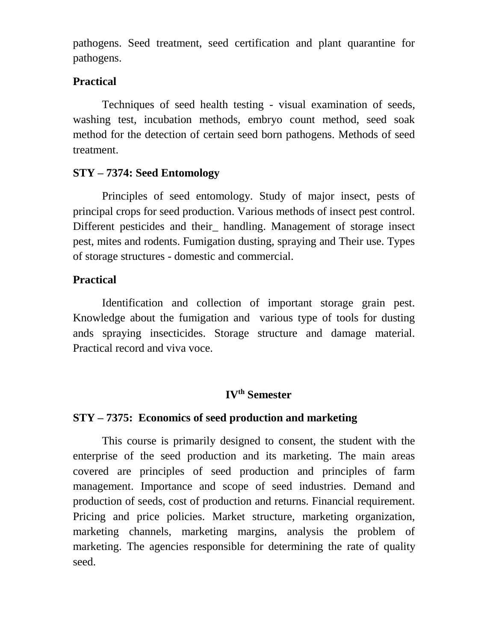pathogens. Seed treatment, seed certification and plant quarantine for pathogens.

#### **Practical**

Techniques of seed health testing - visual examination of seeds, washing test, incubation methods, embryo count method, seed soak method for the detection of certain seed born pathogens. Methods of seed treatment.

## **STY – 7374: Seed Entomology**

Principles of seed entomology. Study of major insect, pests of principal crops for seed production. Various methods of insect pest control. Different pesticides and their\_ handling. Management of storage insect pest, mites and rodents. Fumigation dusting, spraying and Their use. Types of storage structures - domestic and commercial.

## **Practical**

Identification and collection of important storage grain pest. Knowledge about the fumigation and various type of tools for dusting ands spraying insecticides. Storage structure and damage material. Practical record and viva voce.

## **IVth Semester**

## **STY – 7375: Economics of seed production and marketing**

This course is primarily designed to consent, the student with the enterprise of the seed production and its marketing. The main areas covered are principles of seed production and principles of farm management. Importance and scope of seed industries. Demand and production of seeds, cost of production and returns. Financial requirement. Pricing and price policies. Market structure, marketing organization, marketing channels, marketing margins, analysis the problem of marketing. The agencies responsible for determining the rate of quality seed.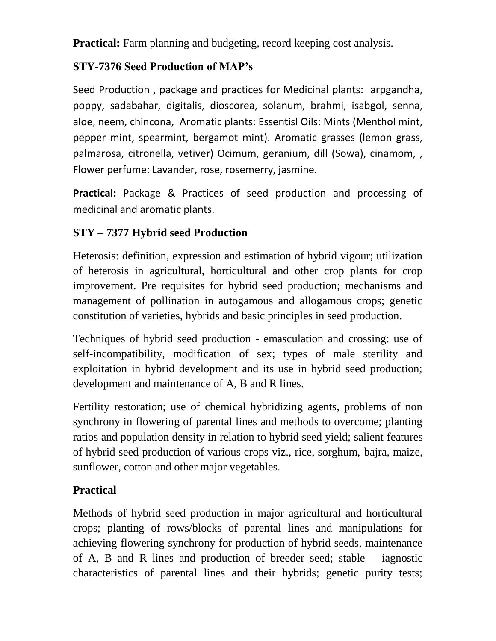**Practical:** Farm planning and budgeting, record keeping cost analysis.

## **STY-7376 Seed Production of MAP's**

Seed Production , package and practices for Medicinal plants: arpgandha, poppy, sadabahar, digitalis, dioscorea, solanum, brahmi, isabgol, senna, aloe, neem, chincona, Aromatic plants: Essentisl Oils: Mints (Menthol mint, pepper mint, spearmint, bergamot mint). Aromatic grasses (lemon grass, palmarosa, citronella, vetiver) Ocimum, geranium, dill (Sowa), cinamom, , Flower perfume: Lavander, rose, rosemerry, jasmine.

**Practical:** Package & Practices of seed production and processing of medicinal and aromatic plants.

# **STY – 7377 Hybrid seed Production**

Heterosis: definition, expression and estimation of hybrid vigour; utilization of heterosis in agricultural, horticultural and other crop plants for crop improvement. Pre requisites for hybrid seed production; mechanisms and management of pollination in autogamous and allogamous crops; genetic constitution of varieties, hybrids and basic principles in seed production.

Techniques of hybrid seed production - emasculation and crossing: use of self-incompatibility, modification of sex; types of male sterility and exploitation in hybrid development and its use in hybrid seed production; development and maintenance of A, B and R lines.

Fertility restoration; use of chemical hybridizing agents, problems of non synchrony in flowering of parental lines and methods to overcome; planting ratios and population density in relation to hybrid seed yield; salient features of hybrid seed production of various crops viz., rice, sorghum, bajra, maize, sunflower, cotton and other major vegetables.

# **Practical**

Methods of hybrid seed production in major agricultural and horticultural crops; planting of rows/blocks of parental lines and manipulations for achieving flowering synchrony for production of hybrid seeds, maintenance of A, B and R lines and production of breeder seed; stable iagnostic characteristics of parental lines and their hybrids; genetic purity tests;